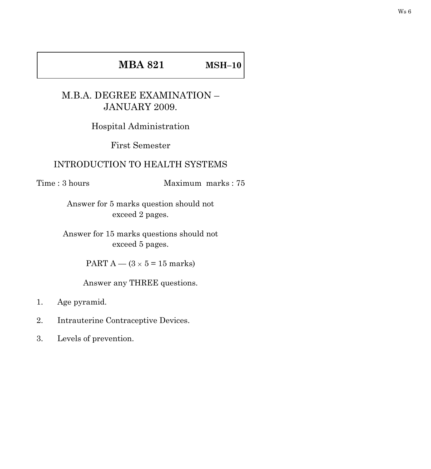## **MBA 821 MSH–10**

## M.B.A. DEGREE EXAMINATION – JANUARY 2009.

Hospital Administration

First Semester

## INTRODUCTION TO HEALTH SYSTEMS

Time : 3 hours Maximum marks : 75

Answer for 5 marks question should not exceed 2 pages.

Answer for 15 marks questions should not exceed 5 pages.

PART A —  $(3 \times 5 = 15$  marks)

Answer any THREE questions.

- 1. Age pyramid.
- 2. Intrauterine Contraceptive Devices.
- 3. Levels of prevention.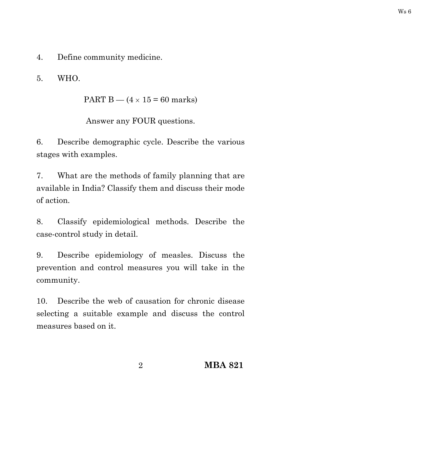4. Define community medicine.

5. WHO.

PART B —  $(4 \times 15 = 60$  marks)

Answer any FOUR questions.

6. Describe demographic cycle. Describe the various stages with examples.

7. What are the methods of family planning that are available in India? Classify them and discuss their mode of action.

8. Classify epidemiological methods. Describe the case-control study in detail.

9. Describe epidemiology of measles. Discuss the prevention and control measures you will take in the community.

10. Describe the web of causation for chronic disease selecting a suitable example and discuss the control measures based on it.

2 **MBA 821**